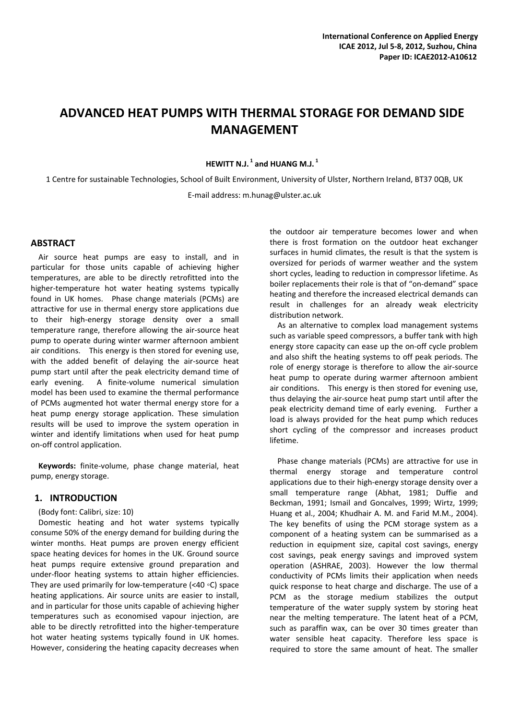# **ADVANCED HEAT PUMPS WITH THERMAL STORAGE FOR DEMAND SIDE MANAGEMENT**

### **HEWITT N.J. <sup>1</sup> and HUANG M.J. <sup>1</sup>**

1 Centre for sustainable Technologies, School of Built Environment, University of Ulster, Northern Ireland, BT37 0QB, UK E‐mail address: m.hunag@ulster.ac.uk

### **ABSTRACT**

Air source heat pumps are easy to install, and in particular for those units capable of achieving higher temperatures, are able to be directly retrofitted into the higher-temperature hot water heating systems typically found in UK homes. Phase change materials (PCMs) are attractive for use in thermal energy store applications due to their high‐energy storage density over a small temperature range, therefore allowing the air‐source heat pump to operate during winter warmer afternoon ambient air conditions. This energy is then stored for evening use, with the added benefit of delaying the air-source heat pump start until after the peak electricity demand time of early evening. A finite-volume numerical simulation model has been used to examine the thermal performance of PCMs augmented hot water thermal energy store for a heat pump energy storage application. These simulation results will be used to improve the system operation in winter and identify limitations when used for heat pump on‐off control application.

**Keywords:** finite‐volume, phase change material, heat pump, energy storage.

### **1. INTRODUCTION**

#### (Body font: Calibri, size: 10)

Domestic heating and hot water systems typically consume 50% of the energy demand for building during the winter months. Heat pumps are proven energy efficient space heating devices for homes in the UK. Ground source heat pumps require extensive ground preparation and under‐floor heating systems to attain higher efficiencies. They are used primarily for low‐temperature (<40 ◦C) space heating applications. Air source units are easier to install, and in particular for those units capable of achieving higher temperatures such as economised vapour injection, are able to be directly retrofitted into the higher‐temperature hot water heating systems typically found in UK homes. However, considering the heating capacity decreases when the outdoor air temperature becomes lower and when there is frost formation on the outdoor heat exchanger surfaces in humid climates, the result is that the system is oversized for periods of warmer weather and the system short cycles, leading to reduction in compressor lifetime. As boiler replacements their role is that of "on‐demand" space heating and therefore the increased electrical demands can result in challenges for an already weak electricity distribution network.

As an alternative to complex load management systems such as variable speed compressors, a buffer tank with high energy store capacity can ease up the on‐off cycle problem and also shift the heating systems to off peak periods. The role of energy storage is therefore to allow the air‐source heat pump to operate during warmer afternoon ambient air conditions. This energy is then stored for evening use, thus delaying the air‐source heat pump start until after the peak electricity demand time of early evening. Further a load is always provided for the heat pump which reduces short cycling of the compressor and increases product lifetime.

Phase change materials (PCMs) are attractive for use in thermal energy storage and temperature control applications due to their high‐energy storage density over a small temperature range (Abhat, 1981; Duffie and Beckman, 1991; Ismail and Goncalves, 1999; Wirtz, 1999; Huang et al., 2004; Khudhair A. M. and Farid M.M., 2004). The key benefits of using the PCM storage system as a component of a heating system can be summarised as a reduction in equipment size, capital cost savings, energy cost savings, peak energy savings and improved system operation (ASHRAE, 2003). However the low thermal conductivity of PCMs limits their application when needs quick response to heat charge and discharge. The use of a PCM as the storage medium stabilizes the output temperature of the water supply system by storing heat near the melting temperature. The latent heat of a PCM, such as paraffin wax, can be over 30 times greater than water sensible heat capacity. Therefore less space is required to store the same amount of heat. The smaller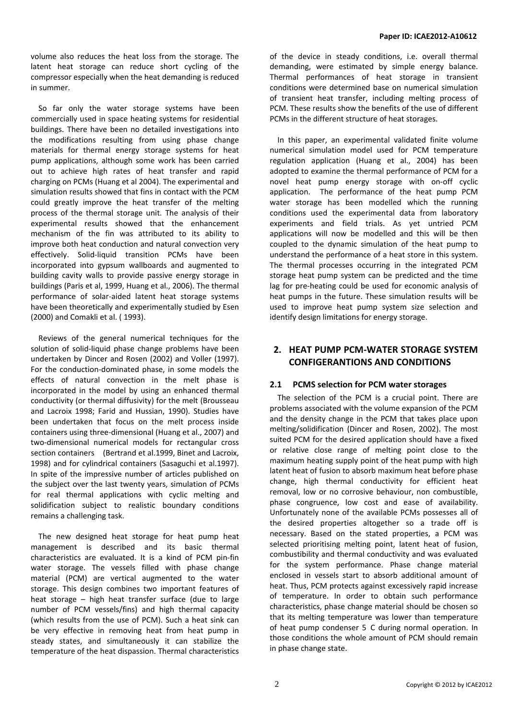volume also reduces the heat loss from the storage. The latent heat storage can reduce short cycling of the compressor especially when the heat demanding is reduced in summer.

So far only the water storage systems have been commercially used in space heating systems for residential buildings. There have been no detailed investigations into the modifications resulting from using phase change materials for thermal energy storage systems for heat pump applications, although some work has been carried out to achieve high rates of heat transfer and rapid charging on PCMs (Huang et al 2004). The experimental and simulation results showed that fins in contact with the PCM could greatly improve the heat transfer of the melting process of the thermal storage unit. The analysis of their experimental results showed that the enhancement mechanism of the fin was attributed to its ability to improve both heat conduction and natural convection very effectively. Solid‐liquid transition PCMs have been incorporated into gypsum wallboards and augmented to building cavity walls to provide passive energy storage in buildings (Paris et al, 1999, Huang et al., 2006). The thermal performance of solar‐aided latent heat storage systems have been theoretically and experimentally studied by Esen (2000) and Comakli et al. ( 1993).

Reviews of the general numerical techniques for the solution of solid-liquid phase change problems have been undertaken by Dincer and Rosen (2002) and Voller (1997). For the conduction‐dominated phase, in some models the effects of natural convection in the melt phase is incorporated in the model by using an enhanced thermal conductivity (or thermal diffusivity) for the melt (Brousseau and Lacroix 1998; Farid and Hussian, 1990). Studies have been undertaken that focus on the melt process inside containers using three‐dimensional (Huang et al., 2007) and two‐dimensional numerical models for rectangular cross section containers (Bertrand et al.1999, Binet and Lacroix, 1998) and for cylindrical containers (Sasaguchi et al.1997). In spite of the impressive number of articles published on the subject over the last twenty years, simulation of PCMs for real thermal applications with cyclic melting and solidification subject to realistic boundary conditions remains a challenging task.

The new designed heat storage for heat pump heat management is described and its basic thermal characteristics are evaluated. It is a kind of PCM pin‐fin water storage. The vessels filled with phase change material (PCM) are vertical augmented to the water storage. This design combines two important features of heat storage – high heat transfer surface (due to large number of PCM vessels/fins) and high thermal capacity (which results from the use of PCM). Such a heat sink can be very effective in removing heat from heat pump in steady states, and simultaneously it can stabilize the temperature of the heat dispassion. Thermal characteristics of the device in steady conditions, i.e. overall thermal demanding, were estimated by simple energy balance. Thermal performances of heat storage in transient conditions were determined base on numerical simulation of transient heat transfer, including melting process of PCM. These results show the benefits of the use of different PCMs in the different structure of heat storages.

In this paper, an experimental validated finite volume numerical simulation model used for PCM temperature regulation application (Huang et al., 2004) has been adopted to examine the thermal performance of PCM for a novel heat pump energy storage with on‐off cyclic application. The performance of the heat pump PCM water storage has been modelled which the running conditions used the experimental data from laboratory experiments and field trials. As yet untried PCM applications will now be modelled and this will be then coupled to the dynamic simulation of the heat pump to understand the performance of a heat store in this system. The thermal processes occurring in the integrated PCM storage heat pump system can be predicted and the time lag for pre‐heating could be used for economic analysis of heat pumps in the future. These simulation results will be used to improve heat pump system size selection and identify design limitations for energy storage.

# **2. HEAT PUMP PCM‐WATER STORAGE SYSTEM CONFIGERANTIONS AND CONDITIONS**

# **2.1 PCMS selection for PCM water storages**

The selection of the PCM is a crucial point. There are problems associated with the volume expansion of the PCM and the density change in the PCM that takes place upon melting/solidification (Dincer and Rosen, 2002). The most suited PCM for the desired application should have a fixed or relative close range of melting point close to the maximum heating supply point of the heat pump with high latent heat of fusion to absorb maximum heat before phase change, high thermal conductivity for efficient heat removal, low or no corrosive behaviour, non combustible, phase congruence, low cost and ease of availability. Unfortunately none of the available PCMs possesses all of the desired properties altogether so a trade off is necessary. Based on the stated properties, a PCM was selected prioritising melting point, latent heat of fusion, combustibility and thermal conductivity and was evaluated for the system performance. Phase change material enclosed in vessels start to absorb additional amount of heat. Thus, PCM protects against excessively rapid increase of temperature. In order to obtain such performance characteristics, phase change material should be chosen so that its melting temperature was lower than temperature of heat pump condenser 5 C during normal operation. In those conditions the whole amount of PCM should remain in phase change state.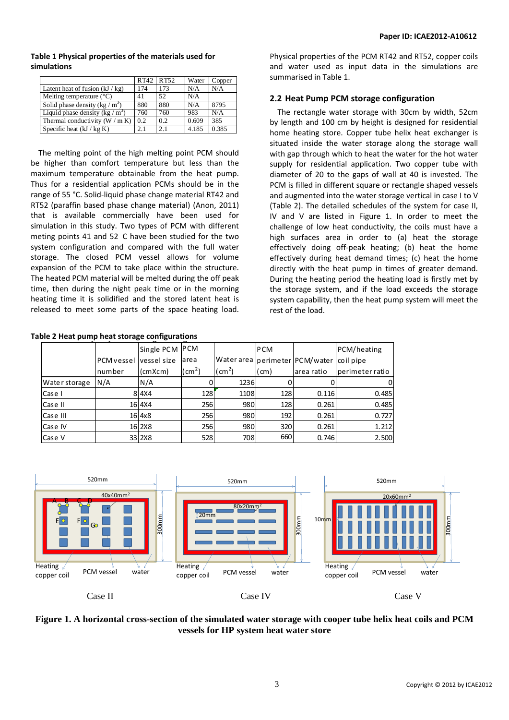#### RT42 RT52 Water Copper Latent heat of fusion  $(kJ/kg)$  174 173 N/A N/A Melting temperature  $(^{\circ}C)$  41 52 N/A Solid phase density (kg /  $m^3$ ) 880 880 N/A 8795

Thermal conductivity  $(W / m K)$  0.2 0.2 0.609 385<br>Specific heat  $(kI / k\sigma K)$  2.1 2.1 4.185 0.38 Specific heat (kJ / kg K) 2.1 2.1 4.185 0.385

) 760 760 983 N/A

**Table 1 Physical properties of the materials used for simulations**

Liquid phase density (kg  $/m<sup>3</sup>$ 

The melting point of the high melting point PCM should be higher than comfort temperature but less than the maximum temperature obtainable from the heat pump. Thus for a residential application PCMs should be in the range of 55 °C. Solid‐liquid phase change material RT42 and RT52 (paraffin based phase change material) (Anon, 2011) that is available commercially have been used for simulation in this study. Two types of PCM with different meting points 41 and 52 C have been studied for the two system configuration and compared with the full water storage. The closed PCM vessel allows for volume expansion of the PCM to take place within the structure. The heated PCM material will be melted during the off peak time, then during the night peak time or in the morning heating time it is solidified and the stored latent heat is released to meet some parts of the space heating load.

Physical properties of the PCM RT42 and RT52, copper coils and water used as input data in the simulations are summarised in Table 1.

### **2.2 Heat Pump PCM storage configuration**

The rectangle water storage with 30cm by width, 52cm by length and 100 cm by height is designed for residential home heating store. Copper tube helix heat exchanger is situated inside the water storage along the storage wall with gap through which to heat the water for the hot water supply for residential application. Two copper tube with diameter of 20 to the gaps of wall at 40 is invested. The PCM is filled in different square or rectangle shaped vessels and augmented into the water storage vertical in case I to V (Table 2). The detailed schedules of the system for case II, IV and V are listed in Figure 1. In order to meet the challenge of low heat conductivity, the coils must have a high surfaces area in order to (a) heat the storage effectively doing off‐peak heating; (b) heat the home effectively during heat demand times; (c) heat the home directly with the heat pump in times of greater demand. During the heating period the heating load is firstly met by the storage system, and if the load exceeds the storage system capability, then the heat pump system will meet the rest of the load.

|               |            | Single PCM PCM |              |               | <b>PCM</b>    |                                 | PCM/heating     |
|---------------|------------|----------------|--------------|---------------|---------------|---------------------------------|-----------------|
|               | PCM vessel | vessel size    | larea        |               |               | Water area perime ter PCM/water | coil pipe       |
|               | number     | (cmXcm)        | $\rm (cm^2)$ | $\text{cm}^2$ | $\text{(cm)}$ | area ratio                      | perimeter ratio |
| Water storage | N/A        | N/A            |              | 1236          |               |                                 |                 |
| Case I        |            | 8 4 X 4        | 128          | 1108          | 128           | 0.116                           | 0.485           |
| Case II       |            | 16 4 X 4       | 256          | 980           | 128           | 0.261                           | 0.485           |
| Case III      |            | $16$ 4x8       | 256          | 980           | 192           | 0.261                           | 0.727           |
| Case IV       |            | 16 2X8         | 256          | 980           | 320           | 0.261                           | 1.212           |
| Case V        |            | 33 2X8         | 528          | 708           | 660           | 0.746                           | 2.500           |





### **Figure 1. A horizontal cross-section of the simulated water storage with cooper tube helix heat coils and PCM vessels for HP system heat water store**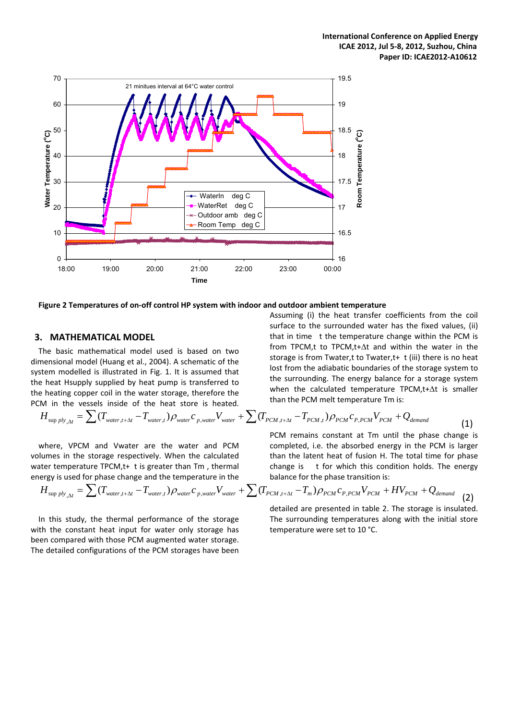

**Figure 2 Temperatures of on‐off control HP system with indoor and outdoor ambient temperature**

### **3. MATHEMATICAL MODEL**

The basic mathematical model used is based on two dimensional model (Huang et al., 2004). A schematic of the system modelled is illustrated in Fig. 1. It is assumed that the heat Hsupply supplied by heat pump is transferred to the heating copper coil in the water storage, therefore the PCM in the vessels inside of the heat store is heated.

$$
H_{\sup ply_{, \Delta t}} = \sum (T_{\text{water}, t+\Delta t} - T_{\text{water}, t}) \rho_{\text{water}} c_{p, \text{water}} V_{\text{water}} + \sum (T_{\text{PCM}, t+\Delta t} - T_{\text{PCM}, t}) \rho_{\text{PCM}} c_{p, \text{PCM}} V_{\text{PCM}} + Q_{\text{demand}}
$$
(1)

where, VPCM and Vwater are the water and PCM volumes in the storage respectively. When the calculated water temperature TPCM, $t+$ t is greater than Tm, thermal energy is used for phase change and the temperature in the

$$
H_{\sup ply_{, \Delta t}} = \sum (T_{\text{water}, t+\Delta t} - T_{\text{water}, t}) \rho_{\text{water}} c_{p, \text{water}} V_{\text{water}} + \sum (T_{\text{PCM}, t+\Delta t} - T_{\text{m}}) \rho_{\text{PCM}} c_{p, \text{PCM}} V_{\text{PCM}} + HV_{\text{PCM}} + Q_{\text{demand}}
$$
(2)

In this study, the thermal performance of the storage with the constant heat input for water only storage has been compared with those PCM augmented water storage. The detailed configurations of the PCM storages have been

storage is from Twater,t to Twater,t+ t (iii) there is no heat lost from the adiabatic boundaries of the storage system to the surrounding. The energy balance for a storage system when the calculated temperature TPCM,t+ $\Delta t$  is smaller than the PCM melt temperature Tm is:

Assuming (i) the heat transfer coefficients from the coil surface to the surrounded water has the fixed values, (ii) that in time t the temperature change within the PCM is from TPCM,t to TPCM,t+Δt and within the water in the

PCM remains constant at Tm until the phase change is completed, i.e. the absorbed energy in the PCM is larger than the latent heat of fusion H. The total time for phase change is t for which this condition holds. The energy balance for the phase transition is:

detailed are presented in table 2. The storage is insulated. The surrounding temperatures along with the initial store temperature were set to 10 °C.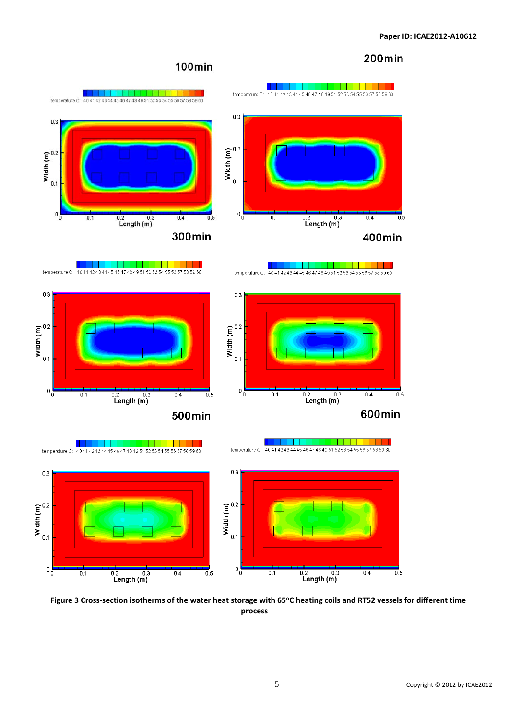# **200min**

# 100min

















 $0.2$  0.3<br>Length (m)





Figure 3 Cross-section isotherms of the water heat storage with 65°C heating coils and RT52 vessels for different time **process**

 $\overline{0.5}$ 

 $0.4$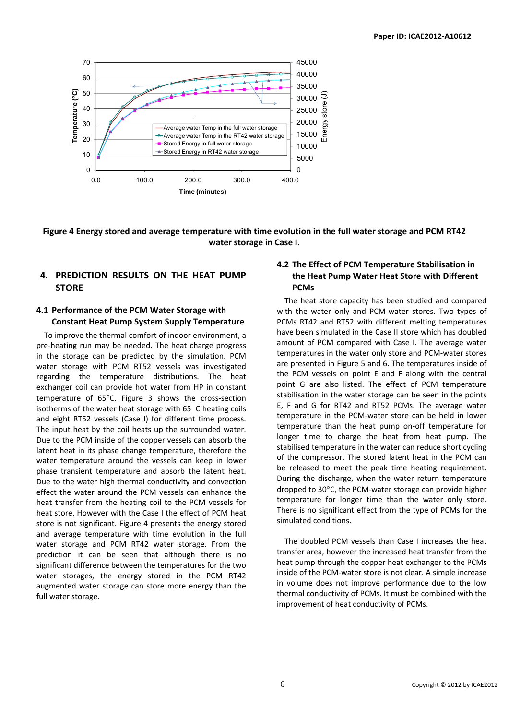

## Figure 4 Energy stored and average temperature with time evolution in the full water storage and PCM RT42 **water storage in Case I.**

# **4. PREDICTION RESULTS ON THE HEAT PUMP STORE**

### **4.1 Performance of the PCM Water Storage with Constant Heat Pump System Supply Temperature**

To improve the thermal comfort of indoor environment, a pre‐heating run may be needed. The heat charge progress in the storage can be predicted by the simulation. PCM water storage with PCM RT52 vessels was investigated regarding the temperature distributions. The heat exchanger coil can provide hot water from HP in constant temperature of 65°C. Figure 3 shows the cross-section isotherms of the water heat storage with 65 C heating coils and eight RT52 vessels (Case I) for different time process. The input heat by the coil heats up the surrounded water. Due to the PCM inside of the copper vessels can absorb the latent heat in its phase change temperature, therefore the water temperature around the vessels can keep in lower phase transient temperature and absorb the latent heat. Due to the water high thermal conductivity and convection effect the water around the PCM vessels can enhance the heat transfer from the heating coil to the PCM vessels for heat store. However with the Case I the effect of PCM heat store is not significant. Figure 4 presents the energy stored and average temperature with time evolution in the full water storage and PCM RT42 water storage. From the prediction it can be seen that although there is no significant difference between the temperatures for the two water storages, the energy stored in the PCM RT42 augmented water storage can store more energy than the full water storage.

### **4.2 The Effect of PCM Temperature Stabilisation in the Heat Pump Water Heat Store with Different PCMs**

The heat store capacity has been studied and compared with the water only and PCM-water stores. Two types of PCMs RT42 and RT52 with different melting temperatures have been simulated in the Case II store which has doubled amount of PCM compared with Case I. The average water temperatures in the water only store and PCM‐water stores are presented in Figure 5 and 6. The temperatures inside of the PCM vessels on point E and F along with the central point G are also listed. The effect of PCM temperature stabilisation in the water storage can be seen in the points E, F and G for RT42 and RT52 PCMs. The average water temperature in the PCM‐water store can be held in lower temperature than the heat pump on‐off temperature for longer time to charge the heat from heat pump. The stabilised temperature in the water can reduce short cycling of the compressor. The stored latent heat in the PCM can be released to meet the peak time heating requirement. During the discharge, when the water return temperature dropped to 30°C, the PCM‐water storage can provide higher temperature for longer time than the water only store. There is no significant effect from the type of PCMs for the simulated conditions.

The doubled PCM vessels than Case I increases the heat transfer area, however the increased heat transfer from the heat pump through the copper heat exchanger to the PCMs inside of the PCM‐water store is not clear. A simple increase in volume does not improve performance due to the low thermal conductivity of PCMs. It must be combined with the improvement of heat conductivity of PCMs.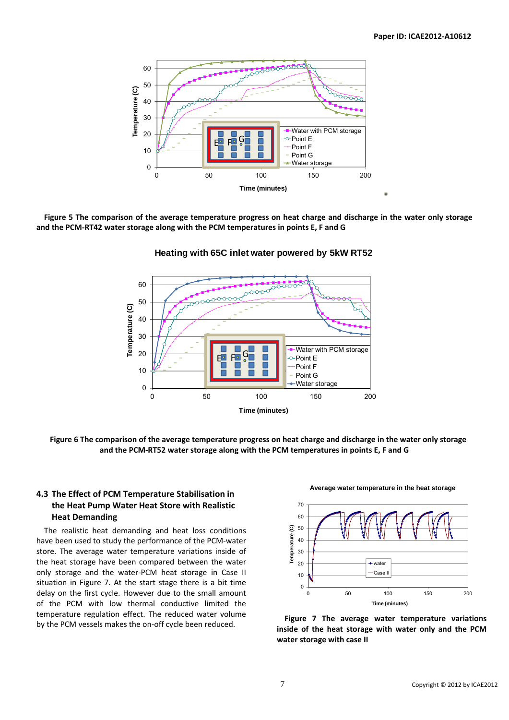

Figure 5 The comparison of the average temperature progress on heat charge and discharge in the water only storage **and the PCM‐RT42 water storage along with the PCM temperatures in points E, F and G**



### **Heating with 65C inlet water powered by 5kW RT52**

Figure 6 The comparison of the average temperature progress on heat charge and discharge in the water only storage **and the PCM‐RT52 water storage along with the PCM temperatures in points E, F and G**

### **4.3 The Effect of PCM Temperature Stabilisation in the Heat Pump Water Heat Store with Realistic Heat Demanding**

The realistic heat demanding and heat loss conditions have been used to study the performance of the PCM‐water store. The average water temperature variations inside of the heat storage have been compared between the water only storage and the water‐PCM heat storage in Case II situation in Figure 7. At the start stage there is a bit time delay on the first cycle. However due to the small amount of the PCM with low thermal conductive limited the temperature regulation effect. The reduced water volume by the PCM vessels makes the on‐off cycle been reduced. **Figure <sup>7</sup> The average water temperature variations**



**Average water temperature in the heat storage** 

**inside of the heat storage with water only and the PCM water storage with case II**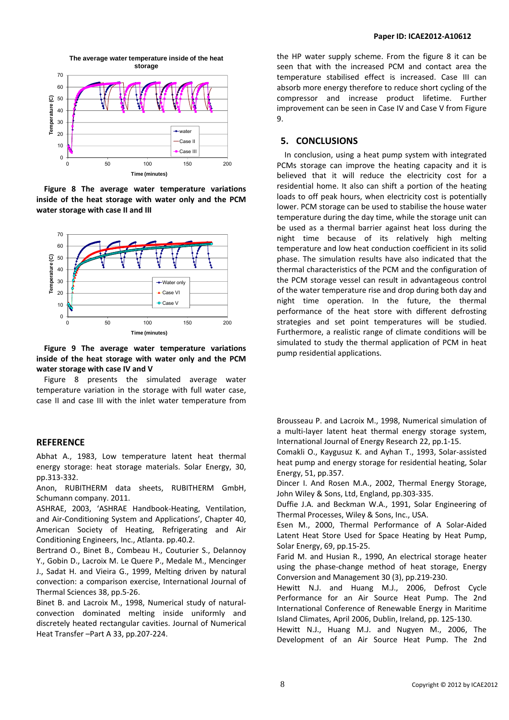

**Figure 8 The average water temperature variations inside of the heat storage with water only and the PCM water storage with case II and III**



**Figure 9 The average water temperature variations inside of the heat storage with water only and the PCM water storage with case IV and V**

Figure 8 presents the simulated average water temperature variation in the storage with full water case, case II and case III with the inlet water temperature from

### **REFERENCE**

Abhat A., 1983, Low temperature latent heat thermal energy storage: heat storage materials. Solar Energy, 30, pp.313‐332.

Anon, RUBITHERM data sheets, RUBITHERM GmbH, Schumann company. 2011.

ASHRAE, 2003, 'ASHRAE Handbook‐Heating, Ventilation, and Air‐Conditioning System and Applications', Chapter 40, American Society of Heating, Refrigerating and Air Conditioning Engineers, Inc., Atlanta. pp.40.2.

Bertrand O., Binet B., Combeau H., Couturier S., Delannoy Y., Gobin D., Lacroix M. Le Quere P., Medale M., Mencinger J., Sadat H. and Vieira G., 1999, Melting driven by natural convection: a comparison exercise, International Journal of Thermal Sciences 38, pp.5‐26.

Binet B. and Lacroix M., 1998, Numerical study of natural‐ convection dominated melting inside uniformly and discretely heated rectangular cavities. Journal of Numerical Heat Transfer –Part A 33, pp.207‐224.

the HP water supply scheme. From the figure 8 it can be seen that with the increased PCM and contact area the temperature stabilised effect is increased. Case III can absorb more energy therefore to reduce short cycling of the compressor and increase product lifetime. Further improvement can be seen in Case IV and Case V from Figure 9.

### **5. CONCLUSIONS**

In conclusion, using a heat pump system with integrated PCMs storage can improve the heating capacity and it is believed that it will reduce the electricity cost for a residential home. It also can shift a portion of the heating loads to off peak hours, when electricity cost is potentially lower. PCM storage can be used to stabilise the house water temperature during the day time, while the storage unit can be used as a thermal barrier against heat loss during the night time because of its relatively high melting temperature and low heat conduction coefficient in its solid phase. The simulation results have also indicated that the thermal characteristics of the PCM and the configuration of the PCM storage vessel can result in advantageous control of the water temperature rise and drop during both day and night time operation. In the future, the thermal performance of the heat store with different defrosting strategies and set point temperatures will be studied. Furthermore, a realistic range of climate conditions will be simulated to study the thermal application of PCM in heat pump residential applications.

Brousseau P. and Lacroix M., 1998, Numerical simulation of a multi-layer latent heat thermal energy storage system, International Journal of Energy Research 22, pp.1‐15.

Comakli O., Kaygusuz K. and Ayhan T., 1993, Solar‐assisted heat pump and energy storage for residential heating, Solar Energy, 51, pp.357.

Dincer I. And Rosen M.A., 2002, Thermal Energy Storage, John Wiley & Sons, Ltd, England, pp.303‐335.

Duffie J.A. and Beckman W.A., 1991, Solar Engineering of Thermal Processes, Wiley & Sons, Inc., USA.

Esen M., 2000, Thermal Performance of A Solar‐Aided Latent Heat Store Used for Space Heating by Heat Pump, Solar Energy, 69, pp.15‐25.

Farid M. and Husian R., 1990, An electrical storage heater using the phase‐change method of heat storage, Energy Conversion and Management 30 (3), pp.219‐230.

Hewitt N.J. and Huang M.J., 2006, Defrost Cycle Performance for an Air Source Heat Pump. The 2nd International Conference of Renewable Energy in Maritime Island Climates, April 2006, Dublin, Ireland, pp. 125‐130.

Hewitt N.J., Huang M.J. and Nugyen M., 2006, The Development of an Air Source Heat Pump. The 2nd